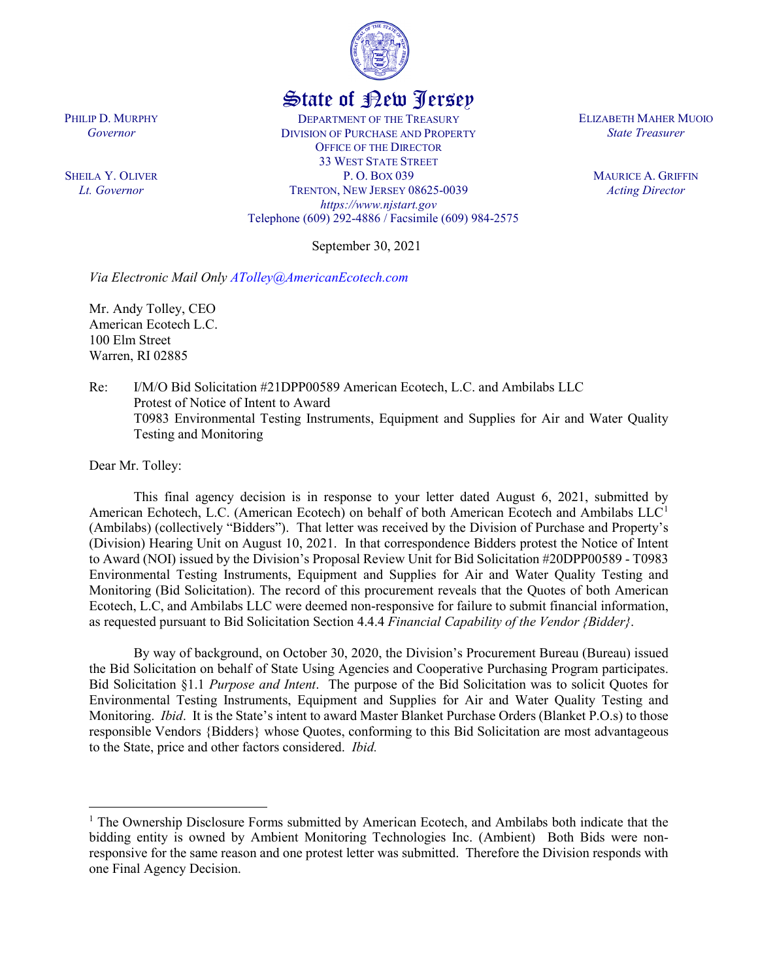

## State of New Jersey

DEPARTMENT OF THE TREASURY DIVISION OF PURCHASE AND PROPERTY OFFICE OF THE DIRECTOR 33 WEST STATE STREET P. O. BOX 039 TRENTON, NEW JERSEY 08625-0039 *https://www.njstart.gov* Telephone (609) 292-4886 / Facsimile (609) 984-2575

September 30, 2021

*Via Electronic Mail Only ATolley@AmericanEcotech.com*

Mr. Andy Tolley, CEO American Ecotech L.C. 100 Elm Street Warren, RI 02885

Re: I/M/O Bid Solicitation #21DPP00589 American Ecotech, L.C. and Ambilabs LLC Protest of Notice of Intent to Award T0983 Environmental Testing Instruments, Equipment and Supplies for Air and Water Quality Testing and Monitoring

Dear Mr. Tolley:

This final agency decision is in response to your letter dated August 6, 2021, submitted by American Echotech, L.C. (American Ecotech) on behalf of both American Ecotech and Ambilabs LLC<sup>[1](#page-0-0)</sup> (Ambilabs) (collectively "Bidders"). That letter was received by the Division of Purchase and Property's (Division) Hearing Unit on August 10, 2021. In that correspondence Bidders protest the Notice of Intent to Award (NOI) issued by the Division's Proposal Review Unit for Bid Solicitation #20DPP00589 - T0983 Environmental Testing Instruments, Equipment and Supplies for Air and Water Quality Testing and Monitoring (Bid Solicitation). The record of this procurement reveals that the Quotes of both American Ecotech, L.C, and Ambilabs LLC were deemed non-responsive for failure to submit financial information, as requested pursuant to Bid Solicitation Section 4.4.4 *Financial Capability of the Vendor {Bidder}*.

By way of background, on October 30, 2020, the Division's Procurement Bureau (Bureau) issued the Bid Solicitation on behalf of State Using Agencies and Cooperative Purchasing Program participates. Bid Solicitation §1.1 *Purpose and Intent*. The purpose of the Bid Solicitation was to solicit Quotes for Environmental Testing Instruments, Equipment and Supplies for Air and Water Quality Testing and Monitoring. *Ibid*. It is the State's intent to award Master Blanket Purchase Orders (Blanket P.O.s) to those responsible Vendors {Bidders} whose Quotes, conforming to this Bid Solicitation are most advantageous to the State, price and other factors considered. *Ibid.* 

PHILIP D. MURPHY *Governor*

SHEILA Y. OLIVER *Lt. Governor*

ELIZABETH MAHER MUOIO *State Treasurer*

> MAURICE A. GRIFFIN *Acting Director*

<span id="page-0-0"></span> <sup>1</sup> The Ownership Disclosure Forms submitted by American Ecotech, and Ambilabs both indicate that the bidding entity is owned by Ambient Monitoring Technologies Inc. (Ambient) Both Bids were nonresponsive for the same reason and one protest letter was submitted. Therefore the Division responds with one Final Agency Decision.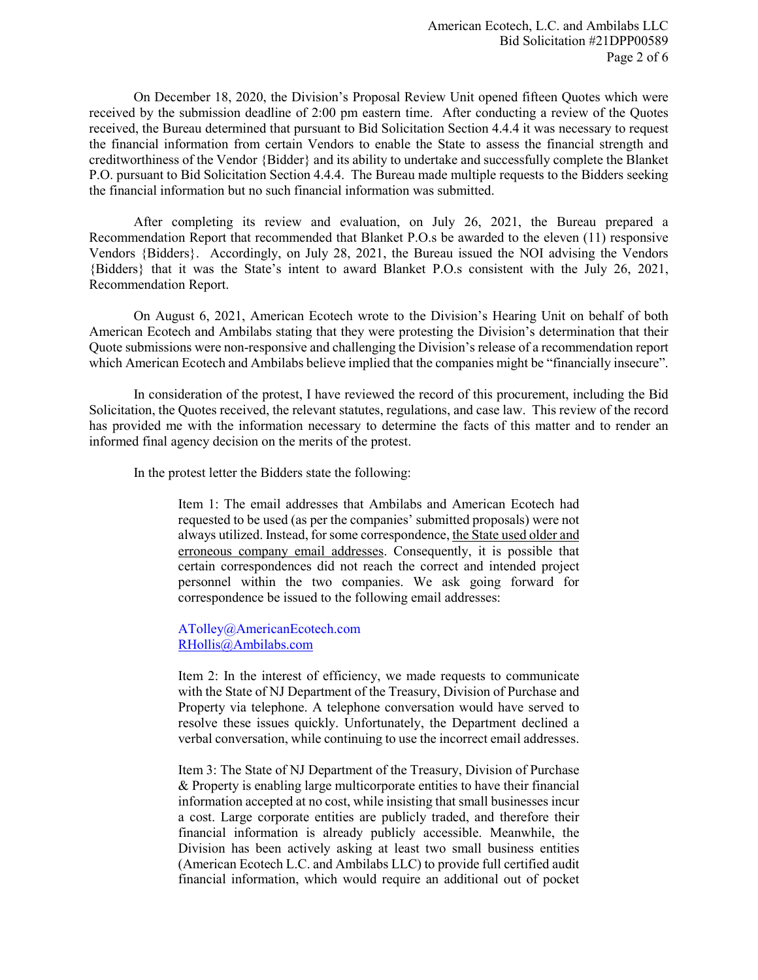On December 18, 2020, the Division's Proposal Review Unit opened fifteen Quotes which were received by the submission deadline of 2:00 pm eastern time. After conducting a review of the Quotes received, the Bureau determined that pursuant to Bid Solicitation Section 4.4.4 it was necessary to request the financial information from certain Vendors to enable the State to assess the financial strength and creditworthiness of the Vendor {Bidder} and its ability to undertake and successfully complete the Blanket P.O. pursuant to Bid Solicitation Section 4.4.4. The Bureau made multiple requests to the Bidders seeking the financial information but no such financial information was submitted.

After completing its review and evaluation, on July 26, 2021, the Bureau prepared a Recommendation Report that recommended that Blanket P.O.s be awarded to the eleven (11) responsive Vendors {Bidders}. Accordingly, on July 28, 2021, the Bureau issued the NOI advising the Vendors {Bidders} that it was the State's intent to award Blanket P.O.s consistent with the July 26, 2021, Recommendation Report.

On August 6, 2021, American Ecotech wrote to the Division's Hearing Unit on behalf of both American Ecotech and Ambilabs stating that they were protesting the Division's determination that their Quote submissions were non-responsive and challenging the Division's release of a recommendation report which American Ecotech and Ambilabs believe implied that the companies might be "financially insecure".

In consideration of the protest, I have reviewed the record of this procurement, including the Bid Solicitation, the Quotes received, the relevant statutes, regulations, and case law. This review of the record has provided me with the information necessary to determine the facts of this matter and to render an informed final agency decision on the merits of the protest.

In the protest letter the Bidders state the following:

Item 1: The email addresses that Ambilabs and American Ecotech had requested to be used (as per the companies' submitted proposals) were not always utilized. Instead, for some correspondence, the State used older and erroneous company email addresses. Consequently, it is possible that certain correspondences did not reach the correct and intended project personnel within the two companies. We ask going forward for correspondence be issued to the following email addresses:

ATolley@AmericanEcotech.com [RHollis@Ambilabs.com](mailto:RHollis@Ambilabs.com)

Item 2: In the interest of efficiency, we made requests to communicate with the State of NJ Department of the Treasury, Division of Purchase and Property via telephone. A telephone conversation would have served to resolve these issues quickly. Unfortunately, the Department declined a verbal conversation, while continuing to use the incorrect email addresses.

Item 3: The State of NJ Department of the Treasury, Division of Purchase & Property is enabling large multicorporate entities to have their financial information accepted at no cost, while insisting that small businesses incur a cost. Large corporate entities are publicly traded, and therefore their financial information is already publicly accessible. Meanwhile, the Division has been actively asking at least two small business entities (American Ecotech L.C. and Ambilabs LLC) to provide full certified audit financial information, which would require an additional out of pocket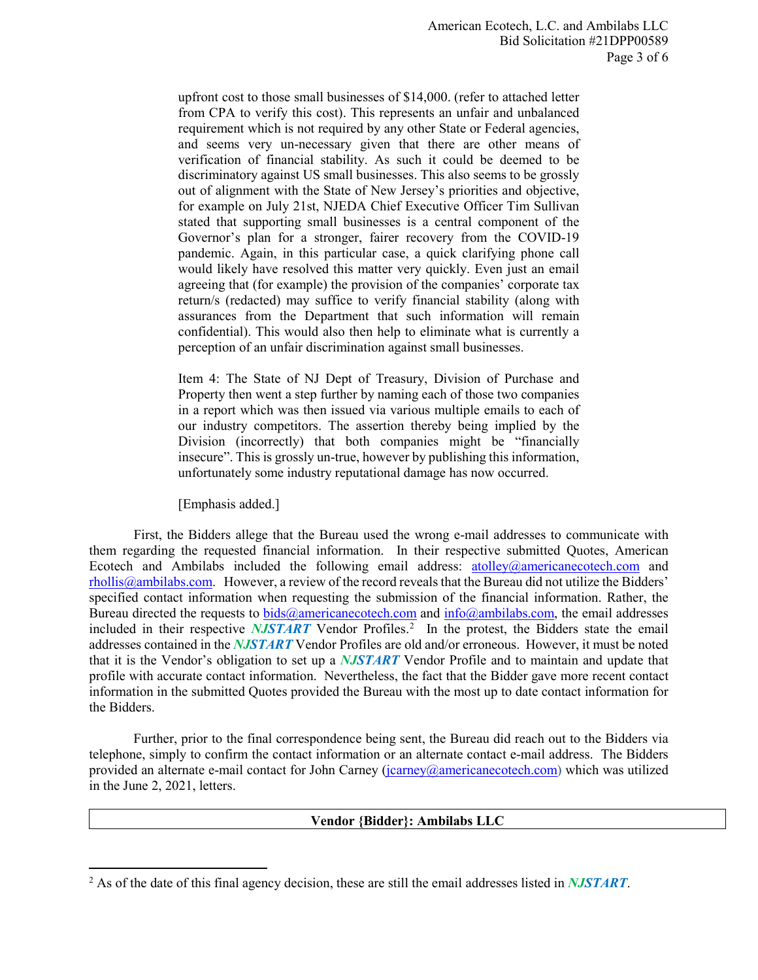upfront cost to those small businesses of \$14,000. (refer to attached letter from CPA to verify this cost). This represents an unfair and unbalanced requirement which is not required by any other State or Federal agencies, and seems very un-necessary given that there are other means of verification of financial stability. As such it could be deemed to be discriminatory against US small businesses. This also seems to be grossly out of alignment with the State of New Jersey's priorities and objective, for example on July 21st, NJEDA Chief Executive Officer Tim Sullivan stated that supporting small businesses is a central component of the Governor's plan for a stronger, fairer recovery from the COVID-19 pandemic. Again, in this particular case, a quick clarifying phone call would likely have resolved this matter very quickly. Even just an email agreeing that (for example) the provision of the companies' corporate tax return/s (redacted) may suffice to verify financial stability (along with assurances from the Department that such information will remain confidential). This would also then help to eliminate what is currently a perception of an unfair discrimination against small businesses.

Item 4: The State of NJ Dept of Treasury, Division of Purchase and Property then went a step further by naming each of those two companies in a report which was then issued via various multiple emails to each of our industry competitors. The assertion thereby being implied by the Division (incorrectly) that both companies might be "financially insecure". This is grossly un-true, however by publishing this information, unfortunately some industry reputational damage has now occurred.

[Emphasis added.]

First, the Bidders allege that the Bureau used the wrong e-mail addresses to communicate with them regarding the requested financial information. In their respective submitted Quotes, American Ecotech and Ambilabs included the following email address:  $atolve@americanecotechn.com$  and [rhollis@ambilabs.com.](mailto:rhollis@ambilabs.com) However, a review of the record reveals that the Bureau did not utilize the Bidders' specified contact information when requesting the submission of the financial information. Rather, the Bureau directed the requests to  $bids@americanecotechn.com$  and  $info@ambilabs.com$ , the email addresses included in their respective *NJSTART* Vendor Profiles. [2](#page-2-0) In the protest, the Bidders state the email addresses contained in the *NJSTART* Vendor Profiles are old and/or erroneous. However, it must be noted that it is the Vendor's obligation to set up a *NJSTART* Vendor Profile and to maintain and update that profile with accurate contact information. Nevertheless, the fact that the Bidder gave more recent contact information in the submitted Quotes provided the Bureau with the most up to date contact information for the Bidders.

Further, prior to the final correspondence being sent, the Bureau did reach out to the Bidders via telephone, simply to confirm the contact information or an alternate contact e-mail address. The Bidders provided an alternate e-mail contact for John Carney [\(jcarney@americanecotech.com\)](mailto:jcarney@americanecotech.com) which was utilized in the June 2, 2021, letters.

## **Vendor {Bidder}: Ambilabs LLC**

<span id="page-2-0"></span> <sup>2</sup> As of the date of this final agency decision, these are still the email addresses listed in *NJSTART*.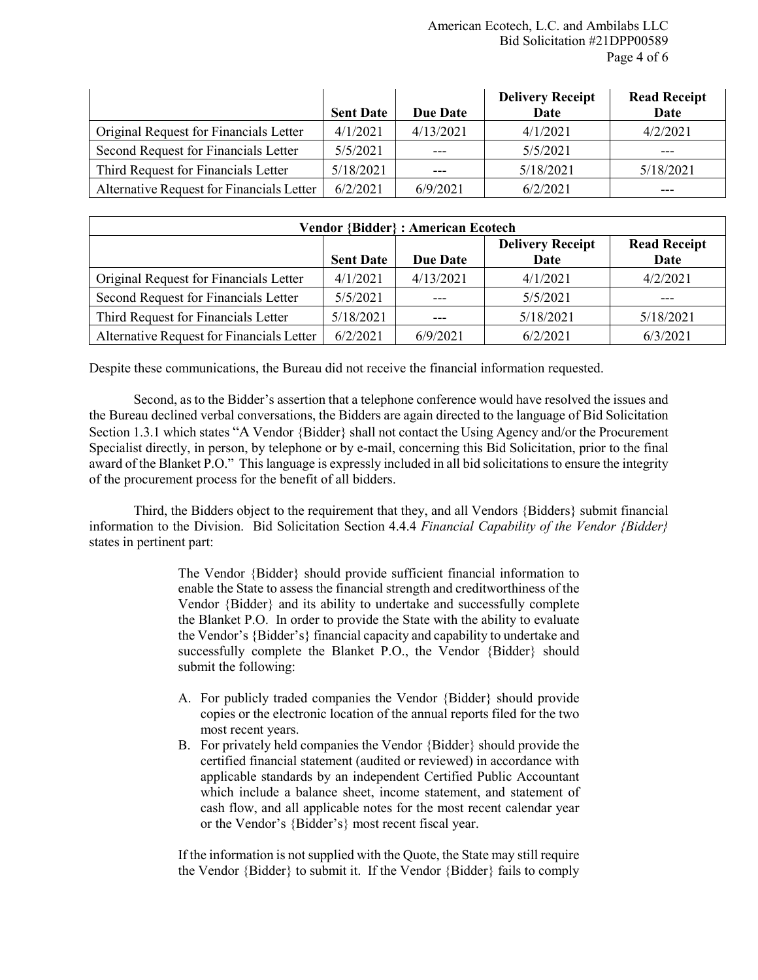|                                           | <b>Sent Date</b> | <b>Due Date</b> | <b>Delivery Receipt</b><br>Date | <b>Read Receipt</b><br>Date |
|-------------------------------------------|------------------|-----------------|---------------------------------|-----------------------------|
| Original Request for Financials Letter    | 4/1/2021         | 4/13/2021       | 4/1/2021                        | 4/2/2021                    |
| Second Request for Financials Letter      | 5/5/2021         |                 | 5/5/2021                        | $---$                       |
| Third Request for Financials Letter       | 5/18/2021        |                 | 5/18/2021                       | 5/18/2021                   |
| Alternative Request for Financials Letter | 6/2/2021         | 6/9/2021        | 6/2/2021                        | $---$                       |

| <b>Vendor {Bidder}: American Ecotech</b>  |                  |                 |                                 |                             |  |  |
|-------------------------------------------|------------------|-----------------|---------------------------------|-----------------------------|--|--|
|                                           | <b>Sent Date</b> | <b>Due Date</b> | <b>Delivery Receipt</b><br>Date | <b>Read Receipt</b><br>Date |  |  |
| Original Request for Financials Letter    | 4/1/2021         | 4/13/2021       | 4/1/2021                        | 4/2/2021                    |  |  |
| Second Request for Financials Letter      | 5/5/2021         |                 | 5/5/2021                        |                             |  |  |
| Third Request for Financials Letter       | 5/18/2021        | ---             | 5/18/2021                       | 5/18/2021                   |  |  |
| Alternative Request for Financials Letter | 6/2/2021         | 6/9/2021        | 6/2/2021                        | 6/3/2021                    |  |  |

Despite these communications, the Bureau did not receive the financial information requested.

Second, as to the Bidder's assertion that a telephone conference would have resolved the issues and the Bureau declined verbal conversations, the Bidders are again directed to the language of Bid Solicitation Section 1.3.1 which states "A Vendor {Bidder} shall not contact the Using Agency and/or the Procurement Specialist directly, in person, by telephone or by e-mail, concerning this Bid Solicitation, prior to the final award of the Blanket P.O." This language is expressly included in all bid solicitations to ensure the integrity of the procurement process for the benefit of all bidders.

Third, the Bidders object to the requirement that they, and all Vendors {Bidders} submit financial information to the Division. Bid Solicitation Section 4.4.4 *Financial Capability of the Vendor {Bidder}* states in pertinent part:

> The Vendor {Bidder} should provide sufficient financial information to enable the State to assess the financial strength and creditworthiness of the Vendor {Bidder} and its ability to undertake and successfully complete the Blanket P.O. In order to provide the State with the ability to evaluate the Vendor's {Bidder's} financial capacity and capability to undertake and successfully complete the Blanket P.O., the Vendor {Bidder} should submit the following:

- A. For publicly traded companies the Vendor {Bidder} should provide copies or the electronic location of the annual reports filed for the two most recent years.
- B. For privately held companies the Vendor {Bidder} should provide the certified financial statement (audited or reviewed) in accordance with applicable standards by an independent Certified Public Accountant which include a balance sheet, income statement, and statement of cash flow, and all applicable notes for the most recent calendar year or the Vendor's {Bidder's} most recent fiscal year.

If the information is not supplied with the Quote, the State may still require the Vendor {Bidder} to submit it. If the Vendor {Bidder} fails to comply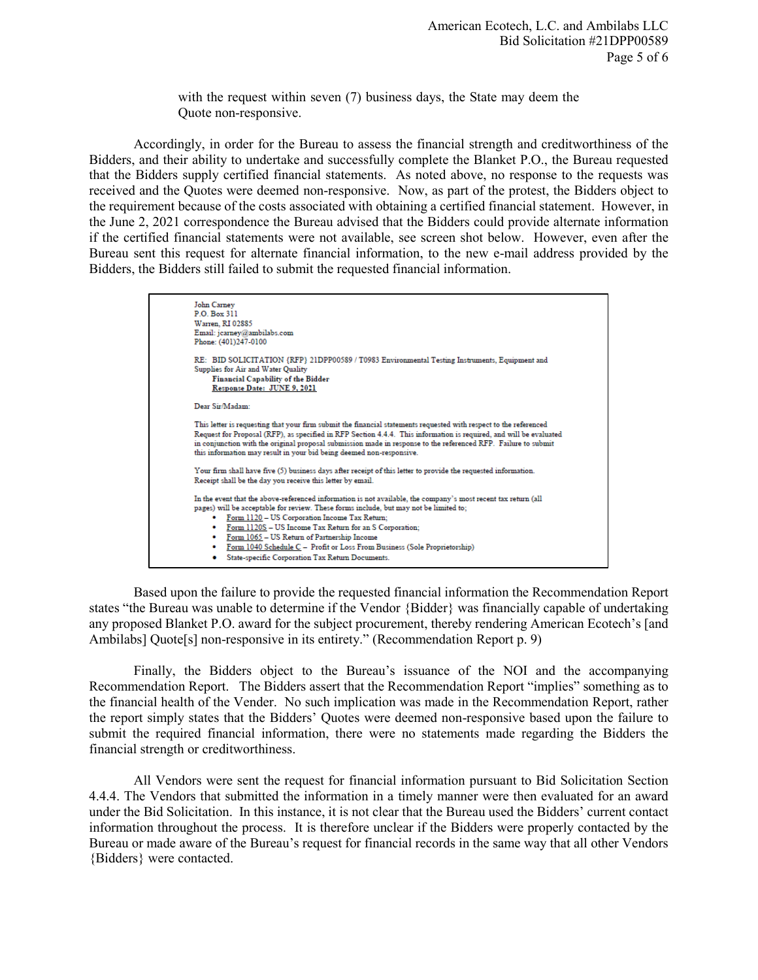with the request within seven (7) business days, the State may deem the Quote non-responsive.

Accordingly, in order for the Bureau to assess the financial strength and creditworthiness of the Bidders, and their ability to undertake and successfully complete the Blanket P.O., the Bureau requested that the Bidders supply certified financial statements. As noted above, no response to the requests was received and the Quotes were deemed non-responsive. Now, as part of the protest, the Bidders object to the requirement because of the costs associated with obtaining a certified financial statement. However, in the June 2, 2021 correspondence the Bureau advised that the Bidders could provide alternate information if the certified financial statements were not available, see screen shot below. However, even after the Bureau sent this request for alternate financial information, to the new e-mail address provided by the Bidders, the Bidders still failed to submit the requested financial information.

```
John Carney
P.O. Box 311Warren, RI 02885
Email: jearney@ambilabs.com
Phone: (401)247-0100
RE: BID SOLICITATION {RFP} 21DPP00589 / T0983 Environmental Testing Instruments, Equipment and
Supplies for Air and Water Quality
     Financial Capability of the Bidder
     Response Date: JUNE 9, 2021
Dear Sir/Madam:
This letter is requesting that your firm submit the financial statements requested with respect to the referenced
Request for Proposal (RFP), as specified in RFP Section 4.4.4. This information is required, and will be evaluated
in conjunction with the original proposal submission made in response to the referenced RFP. Failure to submit
this information may result in your bid being deemed non-responsive.
Your firm shall have five (5) business days after receipt of this letter to provide the requested information.
Receipt shall be the day you receive this letter by email.
In the event that the above-referenced information is not available, the company's most recent tax return (all
pages) will be acceptable for review. These forms include, but may not be limited to;
     • Form 1120 - US Corporation Income Tax Return;Form 1120S - US Income Tax Return for an S Corporation;
         Form 1065 - US Return of Partnership Income
         Form 1040 Schedule C - Profit or Loss From Business (Sole Proprietorship)
     · State-specific Corporation Tax Return Documents.
```
Based upon the failure to provide the requested financial information the Recommendation Report states "the Bureau was unable to determine if the Vendor {Bidder} was financially capable of undertaking any proposed Blanket P.O. award for the subject procurement, thereby rendering American Ecotech's [and Ambilabs] Quote[s] non-responsive in its entirety." (Recommendation Report p. 9)

Finally, the Bidders object to the Bureau's issuance of the NOI and the accompanying Recommendation Report. The Bidders assert that the Recommendation Report "implies" something as to the financial health of the Vender. No such implication was made in the Recommendation Report, rather the report simply states that the Bidders' Quotes were deemed non-responsive based upon the failure to submit the required financial information, there were no statements made regarding the Bidders the financial strength or creditworthiness.

All Vendors were sent the request for financial information pursuant to Bid Solicitation Section 4.4.4. The Vendors that submitted the information in a timely manner were then evaluated for an award under the Bid Solicitation. In this instance, it is not clear that the Bureau used the Bidders' current contact information throughout the process. It is therefore unclear if the Bidders were properly contacted by the Bureau or made aware of the Bureau's request for financial records in the same way that all other Vendors {Bidders} were contacted.